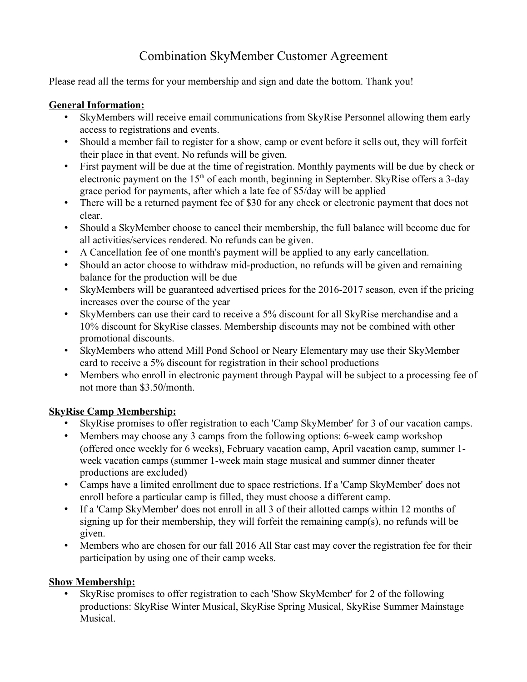# Combination SkyMember Customer Agreement

Please read all the terms for your membership and sign and date the bottom. Thank you!

#### **General Information:**

- SkyMembers will receive email communications from SkyRise Personnel allowing them early access to registrations and events.
- Should a member fail to register for a show, camp or event before it sells out, they will forfeit their place in that event. No refunds will be given.
- First payment will be due at the time of registration. Monthly payments will be due by check or electronic payment on the 15<sup>th</sup> of each month, beginning in September. SkyRise offers a 3-day grace period for payments, after which a late fee of \$5/day will be applied
- There will be a returned payment fee of \$30 for any check or electronic payment that does not clear.
- Should a SkyMember choose to cancel their membership, the full balance will become due for all activities/services rendered. No refunds can be given.
- A Cancellation fee of one month's payment will be applied to any early cancellation.
- Should an actor choose to withdraw mid-production, no refunds will be given and remaining balance for the production will be due
- SkyMembers will be guaranteed advertised prices for the 2016-2017 season, even if the pricing increases over the course of the year
- SkyMembers can use their card to receive a 5% discount for all SkyRise merchandise and a 10% discount for SkyRise classes. Membership discounts may not be combined with other promotional discounts.
- SkyMembers who attend Mill Pond School or Neary Elementary may use their SkyMember card to receive a 5% discount for registration in their school productions
- Members who enroll in electronic payment through Paypal will be subject to a processing fee of not more than \$3.50/month.

## **SkyRise Camp Membership:**

- SkyRise promises to offer registration to each 'Camp SkyMember' for 3 of our vacation camps.
- Members may choose any 3 camps from the following options: 6-week camp workshop (offered once weekly for 6 weeks), February vacation camp, April vacation camp, summer 1 week vacation camps (summer 1-week main stage musical and summer dinner theater productions are excluded)
- Camps have a limited enrollment due to space restrictions. If a 'Camp SkyMember' does not enroll before a particular camp is filled, they must choose a different camp.
- If a 'Camp SkyMember' does not enroll in all 3 of their allotted camps within 12 months of signing up for their membership, they will forfeit the remaining camp(s), no refunds will be given.
- Members who are chosen for our fall 2016 All Star cast may cover the registration fee for their participation by using one of their camp weeks.

## **Show Membership:**

• SkyRise promises to offer registration to each 'Show SkyMember' for 2 of the following productions: SkyRise Winter Musical, SkyRise Spring Musical, SkyRise Summer Mainstage Musical.